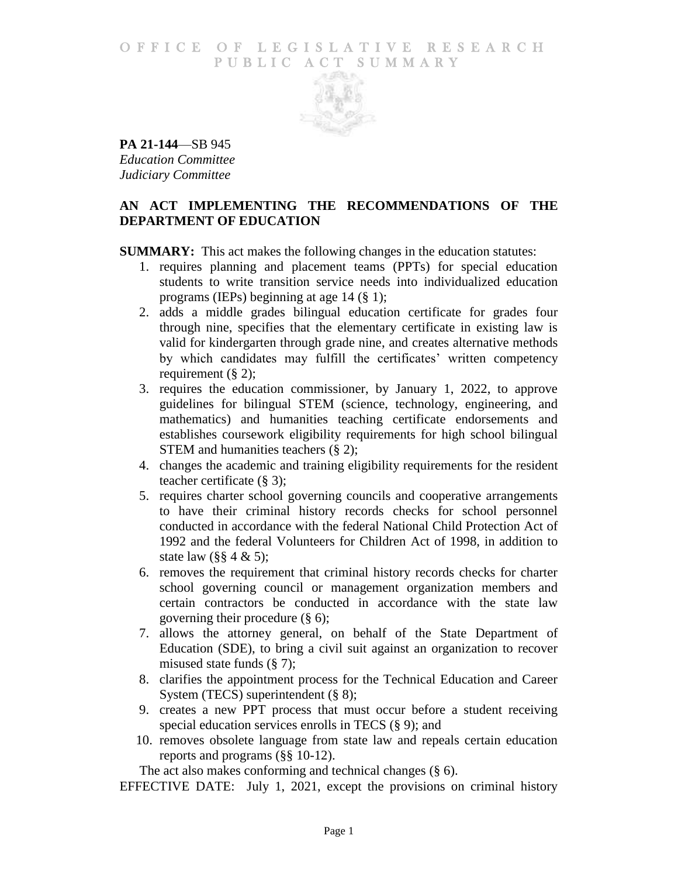### O F FICE OF LEGISLATIVE RESEARCH PUBLIC ACT SUMMARY



**PA 21-144**—SB 945 *Education Committee Judiciary Committee*

# **AN ACT IMPLEMENTING THE RECOMMENDATIONS OF THE DEPARTMENT OF EDUCATION**

**SUMMARY:** This act makes the following changes in the education statutes:

- 1. requires planning and placement teams (PPTs) for special education students to write transition service needs into individualized education programs (IEPs) beginning at age 14 (§ 1);
- 2. adds a middle grades bilingual education certificate for grades four through nine, specifies that the elementary certificate in existing law is valid for kindergarten through grade nine, and creates alternative methods by which candidates may fulfill the certificates' written competency requirement  $(\S 2)$ ;
- 3. requires the education commissioner, by January 1, 2022, to approve guidelines for bilingual STEM (science, technology, engineering, and mathematics) and humanities teaching certificate endorsements and establishes coursework eligibility requirements for high school bilingual STEM and humanities teachers  $(\S 2)$ ;
- 4. changes the academic and training eligibility requirements for the resident teacher certificate (§ 3);
- 5. requires charter school governing councils and cooperative arrangements to have their criminal history records checks for school personnel conducted in accordance with the federal National Child Protection Act of 1992 and the federal Volunteers for Children Act of 1998, in addition to state law (§§ 4 & 5);
- 6. removes the requirement that criminal history records checks for charter school governing council or management organization members and certain contractors be conducted in accordance with the state law governing their procedure (§ 6);
- 7. allows the attorney general, on behalf of the State Department of Education (SDE), to bring a civil suit against an organization to recover misused state funds (§ 7);
- 8. clarifies the appointment process for the Technical Education and Career System (TECS) superintendent (§ 8);
- 9. creates a new PPT process that must occur before a student receiving special education services enrolls in TECS (§ 9); and
- 10. removes obsolete language from state law and repeals certain education reports and programs (§§ 10-12).

The act also makes conforming and technical changes (§ 6).

EFFECTIVE DATE: July 1, 2021, except the provisions on criminal history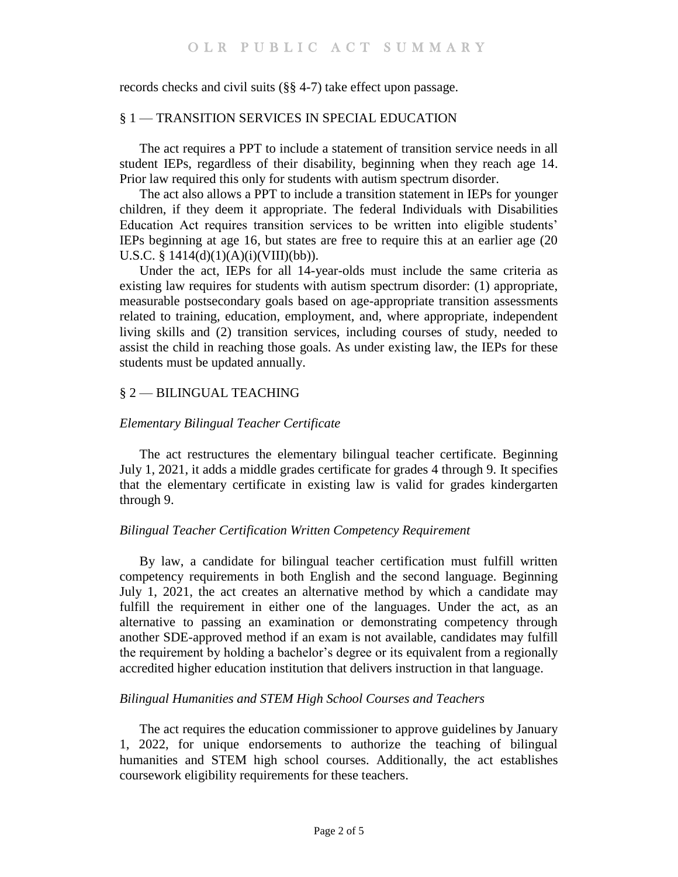records checks and civil suits (§§ 4-7) take effect upon passage.

### § 1 — TRANSITION SERVICES IN SPECIAL EDUCATION

The act requires a PPT to include a statement of transition service needs in all student IEPs, regardless of their disability, beginning when they reach age 14. Prior law required this only for students with autism spectrum disorder.

The act also allows a PPT to include a transition statement in IEPs for younger children, if they deem it appropriate. The federal Individuals with Disabilities Education Act requires transition services to be written into eligible students' IEPs beginning at age 16, but states are free to require this at an earlier age (20 U.S.C. § 1414(d)(1)(A)(i)(VIII)(bb)).

Under the act, IEPs for all 14-year-olds must include the same criteria as existing law requires for students with autism spectrum disorder: (1) appropriate, measurable postsecondary goals based on age-appropriate transition assessments related to training, education, employment, and, where appropriate, independent living skills and (2) transition services, including courses of study, needed to assist the child in reaching those goals. As under existing law, the IEPs for these students must be updated annually.

# § 2 — BILINGUAL TEACHING

# *Elementary Bilingual Teacher Certificate*

The act restructures the elementary bilingual teacher certificate. Beginning July 1, 2021, it adds a middle grades certificate for grades 4 through 9. It specifies that the elementary certificate in existing law is valid for grades kindergarten through 9.

# *Bilingual Teacher Certification Written Competency Requirement*

By law, a candidate for bilingual teacher certification must fulfill written competency requirements in both English and the second language. Beginning July 1, 2021, the act creates an alternative method by which a candidate may fulfill the requirement in either one of the languages. Under the act, as an alternative to passing an examination or demonstrating competency through another SDE-approved method if an exam is not available, candidates may fulfill the requirement by holding a bachelor's degree or its equivalent from a regionally accredited higher education institution that delivers instruction in that language.

# *Bilingual Humanities and STEM High School Courses and Teachers*

The act requires the education commissioner to approve guidelines by January 1, 2022, for unique endorsements to authorize the teaching of bilingual humanities and STEM high school courses. Additionally, the act establishes coursework eligibility requirements for these teachers.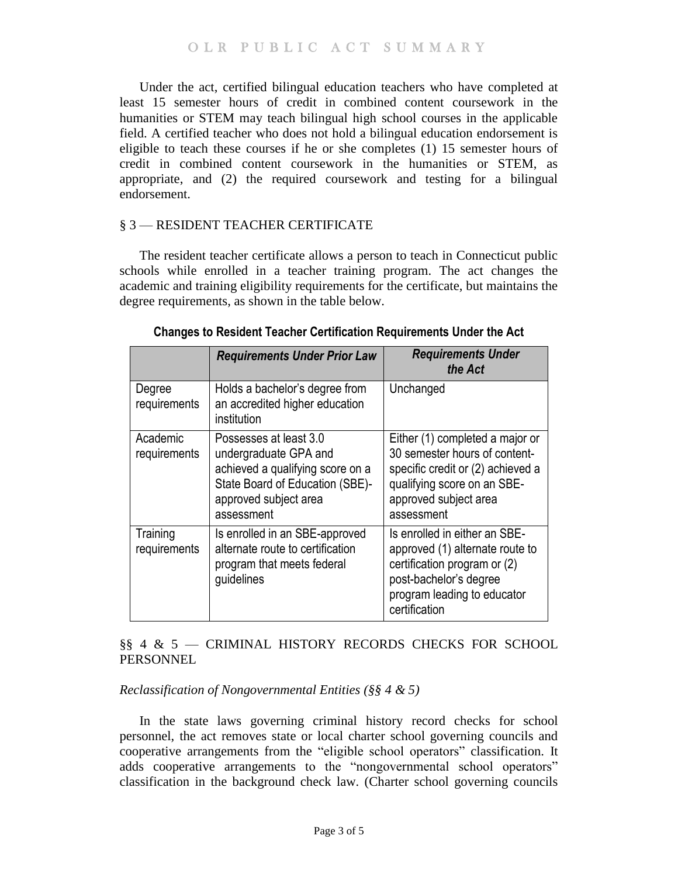OLR PUBLIC ACT SUMMARY

Under the act, certified bilingual education teachers who have completed at least 15 semester hours of credit in combined content coursework in the humanities or STEM may teach bilingual high school courses in the applicable field. A certified teacher who does not hold a bilingual education endorsement is eligible to teach these courses if he or she completes (1) 15 semester hours of credit in combined content coursework in the humanities or STEM, as appropriate, and (2) the required coursework and testing for a bilingual endorsement.

### § 3 — RESIDENT TEACHER CERTIFICATE

The resident teacher certificate allows a person to teach in Connecticut public schools while enrolled in a teacher training program. The act changes the academic and training eligibility requirements for the certificate, but maintains the degree requirements, as shown in the table below.

|                          | <b>Requirements Under Prior Law</b>                                                                                                                           | <b>Requirements Under</b><br>the Act                                                                                                                                        |
|--------------------------|---------------------------------------------------------------------------------------------------------------------------------------------------------------|-----------------------------------------------------------------------------------------------------------------------------------------------------------------------------|
| Degree<br>requirements   | Holds a bachelor's degree from<br>an accredited higher education<br>institution                                                                               | Unchanged                                                                                                                                                                   |
| Academic<br>requirements | Possesses at least 3.0<br>undergraduate GPA and<br>achieved a qualifying score on a<br>State Board of Education (SBE)-<br>approved subject area<br>assessment | Either (1) completed a major or<br>30 semester hours of content-<br>specific credit or (2) achieved a<br>qualifying score on an SBE-<br>approved subject area<br>assessment |
| Training<br>requirements | Is enrolled in an SBE-approved<br>alternate route to certification<br>program that meets federal<br>guidelines                                                | Is enrolled in either an SBE-<br>approved (1) alternate route to<br>certification program or (2)<br>post-bachelor's degree<br>program leading to educator<br>certification  |

**Changes to Resident Teacher Certification Requirements Under the Act**

§§ 4 & 5 — CRIMINAL HISTORY RECORDS CHECKS FOR SCHOOL **PERSONNEL** 

*Reclassification of Nongovernmental Entities (§§ 4 & 5)*

In the state laws governing criminal history record checks for school personnel, the act removes state or local charter school governing councils and cooperative arrangements from the "eligible school operators" classification. It adds cooperative arrangements to the "nongovernmental school operators" classification in the background check law. (Charter school governing councils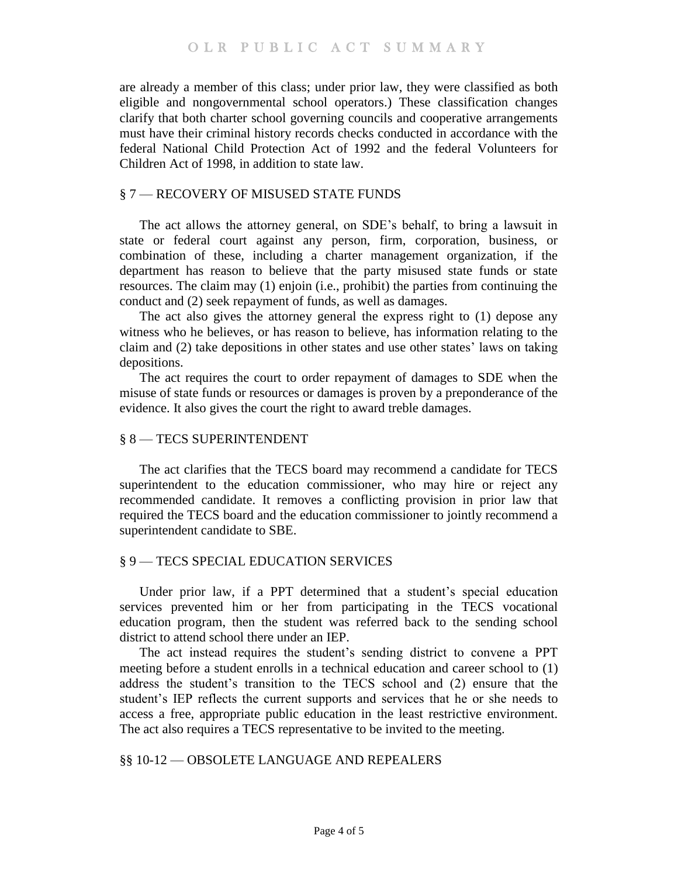are already a member of this class; under prior law, they were classified as both eligible and nongovernmental school operators.) These classification changes clarify that both charter school governing councils and cooperative arrangements must have their criminal history records checks conducted in accordance with the federal National Child Protection Act of 1992 and the federal Volunteers for Children Act of 1998, in addition to state law.

### § 7 — RECOVERY OF MISUSED STATE FUNDS

The act allows the attorney general, on SDE's behalf, to bring a lawsuit in state or federal court against any person, firm, corporation, business, or combination of these, including a charter management organization, if the department has reason to believe that the party misused state funds or state resources. The claim may (1) enjoin (i.e., prohibit) the parties from continuing the conduct and (2) seek repayment of funds, as well as damages.

The act also gives the attorney general the express right to (1) depose any witness who he believes, or has reason to believe, has information relating to the claim and (2) take depositions in other states and use other states' laws on taking depositions.

The act requires the court to order repayment of damages to SDE when the misuse of state funds or resources or damages is proven by a preponderance of the evidence. It also gives the court the right to award treble damages.

#### § 8 — TECS SUPERINTENDENT

The act clarifies that the TECS board may recommend a candidate for TECS superintendent to the education commissioner, who may hire or reject any recommended candidate. It removes a conflicting provision in prior law that required the TECS board and the education commissioner to jointly recommend a superintendent candidate to SBE.

#### § 9 — TECS SPECIAL EDUCATION SERVICES

Under prior law, if a PPT determined that a student's special education services prevented him or her from participating in the TECS vocational education program, then the student was referred back to the sending school district to attend school there under an IEP.

The act instead requires the student's sending district to convene a PPT meeting before a student enrolls in a technical education and career school to (1) address the student's transition to the TECS school and (2) ensure that the student's IEP reflects the current supports and services that he or she needs to access a free, appropriate public education in the least restrictive environment. The act also requires a TECS representative to be invited to the meeting.

#### §§ 10-12 — OBSOLETE LANGUAGE AND REPEALERS